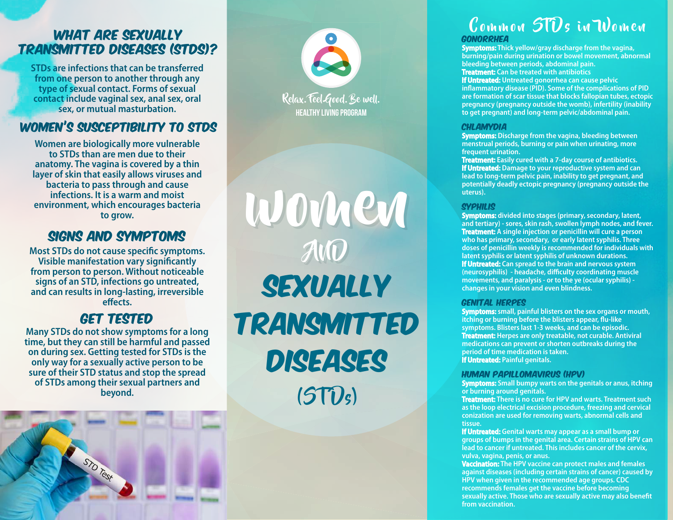#### WHAT ARE SEXUALLY Transmitted Diseases (STDs)?

**STDs are infections that can be transferred from one person to another through any type of sexual contact. Forms of sexual contact include vaginal sex, anal sex, oral sex, or mutual masturbation.**

#### Women's Susceptibility to STDs

**Women are biologically more vulnerable to STDs than are men due to their anatomy. The vagina is covered by a thin layer of skin that easily allows viruses and bacteria to pass through and cause infections. It is a warm and moist environment, which encourages bacteria to grow.**

#### SIGNS AND SYMPTOMS

**Most STDs do not cause specific symptoms. Visible manifestation vary significantly from person to person. Without noticeable signs of an STD, infections go untreated, and can results in long-lasting, irreversible**  effects.

#### Get Tested

**Many STDs do not show symptoms for a long time, but they can still be harmful and passed on during sex. Getting tested for STDs is the only way for a sexually active person to be sure of their STD status and stop the spread of STDs among their sexual partners and beyond.**



HEALTHY LIVING PROGRAM Relax. Feel Good. Be well.

SEXUALLY TRANSMITTED DISEASES AND AND  $(5T\hat{U}_5)$ women

#### Gonorrhea Common STDs in Women

**Symptoms: Thick yellow/gray discharge from the vagina, burning/pain during urination or bowel movement, abnormal bleeding between periods, abdominal pain. Treatment: Can be treated with antibiotics**

**If Untreated: Untreated gonorrhea can cause pelvic inflammatory disease (PID). Some of the complications of PID are formation of scar tissue that blocks fallopian tubes, ectopic pregnancy (pregnancy outside the womb), infertility (inability to get pregnant) and long-term pelvic/abdominal pain.**

#### **CHLAMYDIA**

**Symptoms: Discharge from the vagina, bleeding between menstrual periods, burning or pain when urinating, more frequent urination.**

**Treatment: Easily cured with a 7-day course of antibiotics. If Untreated: Damage to your reproductive system and can lead to long-term pelvic pain, inability to get pregnant, and potentially deadly ectopic pregnancy (pregnancy outside the uterus).**

#### **SYPHILIS**

**Symptoms: divided into stages (primary, secondary, latent, and tertiary) - sores, skin rash, swollen lymph nodes, and fever. Treatment: A single injection or penicillin will cure a person who has primary, secondary, or early latent syphilis. Three doses of penicillin weekly is recommended for individuals with latent syphilis or latent syphilis of unknown durations. If Untreated: Can spread to the brain and nervous system**  (neurosyphilis) - headache, difficulty coordinating muscle **movements, and paralysis - or to the ye (ocular syphilis) changes in your vision and even blindness.**

#### Genital Herpes

**Symptoms: small, painful blisters on the sex organs or mouth,**  itching or burning before the blisters appear, flu-like **symptoms. Blisters last 1-3 weeks, and can be episodic. Treatment: Herpes are only treatable, not curable. Antiviral medications can prevent or shorten outbreaks during the period of time medication is taken. If Untreated: Painful genitals.**

#### Human Papillomavirus (HPV)

**Symptoms: Small bumpy warts on the genitals or anus, itching or burning around genitals.**

**Treatment: There is no cure for HPV and warts. Treatment such as the loop electrical excision procedure, freezing and cervical conization are used for removing warts, abnormal cells and tissue.**

**If Untreated: Genital warts may appear as a small bump or groups of bumps in the genital area. Certain strains of HPV can lead to cancer if untreated. This includes cancer of the cervix, vulva, vagina, penis, or anus.**

**Vaccination: The HPV vaccine can protect males and females against diseases (including certain strains of cancer) caused by HPV when given in the recommended age groups. CDC recommends females get the vaccine before becoming**  sexually active. Those who are sexually active may also benefit **from vaccination.**